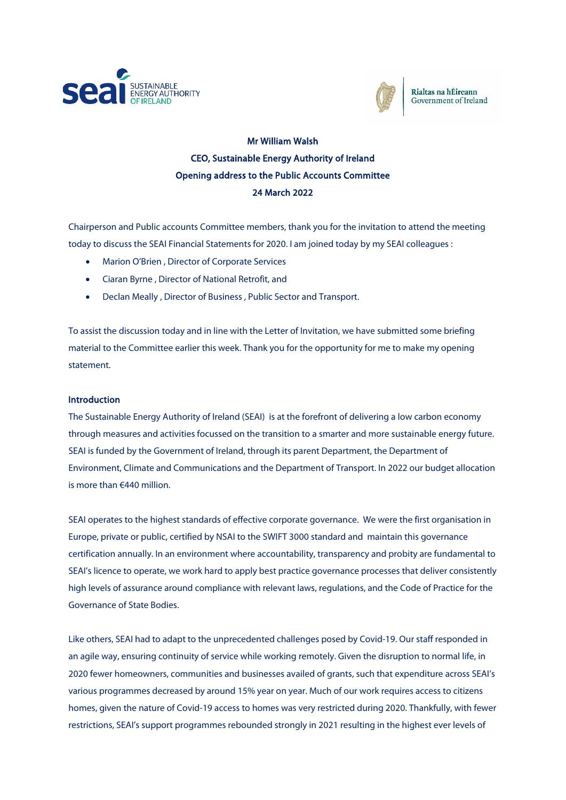



Rialtas na hÉireann Government of Ireland

# Mr William Walsh CEO, Sustainable Energy Authority of Ireland Opening address to the Public Accounts Committee 24 March 2022

Chairperson and Public accounts Committee members, thank you for the invitation to attend the meeting today to discuss the SEAI Financial Statements for 2020. I am joined today by my SEAI colleagues :

- Marion O'Brien , Director of Corporate Services
- Ciaran Byrne , Director of National Retrofit, and
- Declan Meally , Director of Business , Public Sector and Transport.

To assist the discussion today and in line with the Letter of Invitation, we have submitted some briefing material to the Committee earlier this week. Thank you for the opportunity for me to make my opening statement.

## **Introduction**

The Sustainable Energy Authority of Ireland (SEAI) is at the forefront of delivering a low carbon economy through measures and activities focussed on the transition to a smarter and more sustainable energy future. SEAI is funded by the Government of Ireland, through its parent Department, the Department of Environment, Climate and Communications and the Department of Transport. In 2022 our budget allocation is more than €440 million.

SEAI operates to the highest standards of effective corporate governance. We were the first organisation in Europe, private or public, certified by NSAI to the SWIFT 3000 standard and maintain this governance certification annually. In an environment where accountability, transparency and probity are fundamental to SEAI's licence to operate, we work hard to apply best practice governance processes that deliver consistently high levels of assurance around compliance with relevant laws, regulations, and the Code of Practice for the Governance of State Bodies.

Like others, SEAI had to adapt to the unprecedented challenges posed by Covid-19. Our staff responded in an agile way, ensuring continuity of service while working remotely. Given the disruption to normal life, in 2020 fewer homeowners, communities and businesses availed of grants, such that expenditure across SEAI's various programmes decreased by around 15% year on year. Much of our work requires access to citizens homes, given the nature of Covid-19 access to homes was very restricted during 2020. Thankfully, with fewer restrictions, SEAI's support programmes rebounded strongly in 2021 resulting in the highest ever levels of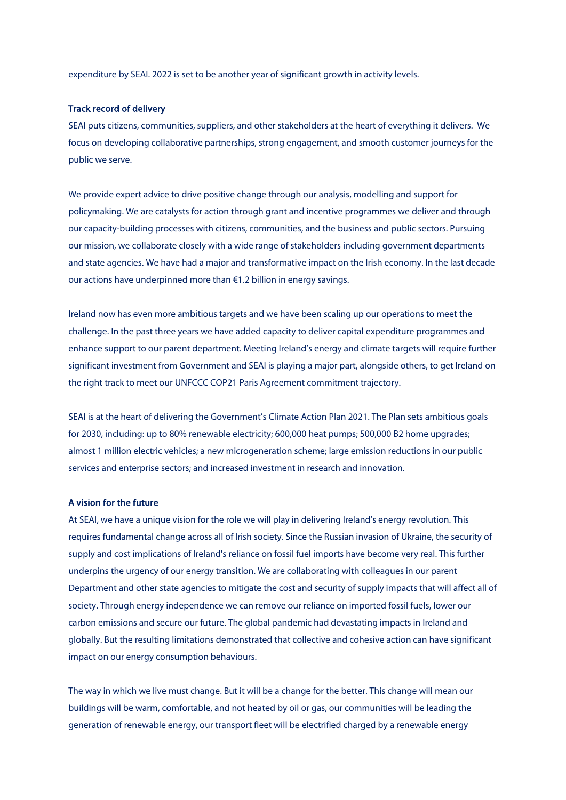expenditure by SEAI. 2022 is set to be another year of significant growth in activity levels.

## Track record of delivery

SEAI puts citizens, communities, suppliers, and other stakeholders at the heart of everything it delivers. We focus on developing collaborative partnerships, strong engagement, and smooth customer journeys for the public we serve.

We provide expert advice to drive positive change through our analysis, modelling and support for policymaking. We are catalysts for action through grant and incentive programmes we deliver and through our capacity-building processes with citizens, communities, and the business and public sectors. Pursuing our mission, we collaborate closely with a wide range of stakeholders including government departments and state agencies. We have had a major and transformative impact on the Irish economy. In the last decade our actions have underpinned more than €1.2 billion in energy savings.

Ireland now has even more ambitious targets and we have been scaling up our operations to meet the challenge. In the past three years we have added capacity to deliver capital expenditure programmes and enhance support to our parent department. Meeting Ireland's energy and climate targets will require further significant investment from Government and SEAI is playing a major part, alongside others, to get Ireland on the right track to meet our UNFCCC COP21 Paris Agreement commitment trajectory.

SEAI is at the heart of delivering the Government's Climate Action Plan 2021. The Plan sets ambitious goals for 2030, including: up to 80% renewable electricity; 600,000 heat pumps; 500,000 B2 home upgrades; almost 1 million electric vehicles; a new microgeneration scheme; large emission reductions in our public services and enterprise sectors; and increased investment in research and innovation.

## A vision for the future

At SEAI, we have a unique vision for the role we will play in delivering Ireland's energy revolution. This requires fundamental change across all of Irish society. Since the Russian invasion of Ukraine, the security of supply and cost implications of Ireland's reliance on fossil fuel imports have become very real. This further underpins the urgency of our energy transition. We are collaborating with colleagues in our parent Department and other state agencies to mitigate the cost and security of supply impacts that will affect all of society. Through energy independence we can remove our reliance on imported fossil fuels, lower our carbon emissions and secure our future. The global pandemic had devastating impacts in Ireland and globally. But the resulting limitations demonstrated that collective and cohesive action can have significant impact on our energy consumption behaviours.

The way in which we live must change. But it will be a change for the better. This change will mean our buildings will be warm, comfortable, and not heated by oil or gas, our communities will be leading the generation of renewable energy, our transport fleet will be electrified charged by a renewable energy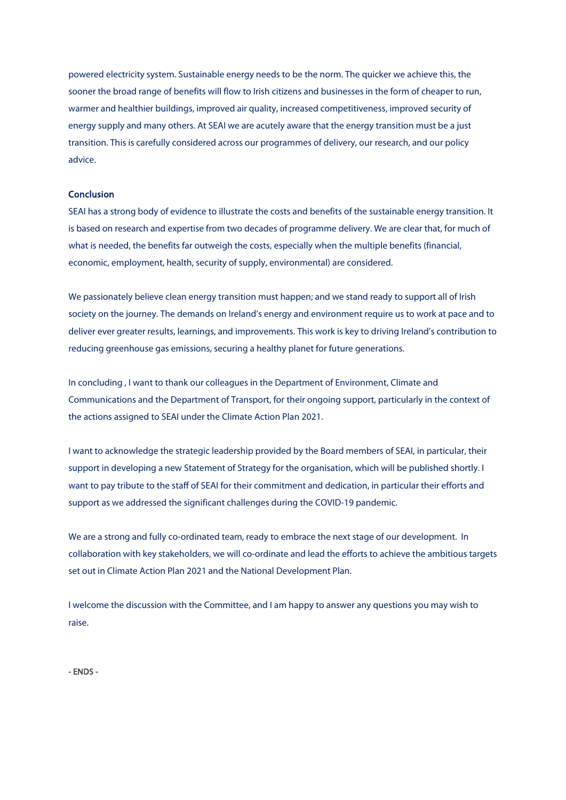powered electricity system. Sustainable energy needs to be the norm. The quicker we achieve this, the sooner the broad range of benefits will flow to Irish citizens and businesses in the form of cheaper to run, warmer and healthier buildings, improved air quality, increased competitiveness, improved security of energy supply and many others. At SEAI we are acutely aware that the energy transition must be a just transition. This is carefully considered across our programmes of delivery, our research, and our policy advice.

## **Conclusion**

SEAI has a strong body of evidence to illustrate the costs and benefits of the sustainable energy transition. It is based on research and expertise from two decades of programme delivery. We are clear that, for much of what is needed, the benefits far outweigh the costs, especially when the multiple benefits (financial, economic, employment, health, security of supply, environmental) are considered.

We passionately believe clean energy transition must happen; and we stand ready to support all of Irish society on the journey. The demands on Ireland's energy and environment require us to work at pace and to deliver ever greater results, learnings, and improvements. This work is key to driving Ireland's contribution to reducing greenhouse gas emissions, securing a healthy planet for future generations.

In concluding , I want to thank our colleagues in the Department of Environment, Climate and Communications and the Department of Transport, for their ongoing support, particularly in the context of the actions assigned to SEAI under the Climate Action Plan 2021.

I want to acknowledge the strategic leadership provided by the Board members of SEAI, in particular, their support in developing a new Statement of Strategy for the organisation, which will be published shortly. I want to pay tribute to the staff of SEAI for their commitment and dedication, in particular their efforts and support as we addressed the significant challenges during the COVID-19 pandemic.

We are a strong and fully co-ordinated team, ready to embrace the next stage of our development. In collaboration with key stakeholders, we will co-ordinate and lead the efforts to achieve the ambitious targets set out in Climate Action Plan 2021 and the National Development Plan.

I welcome the discussion with the Committee, and I am happy to answer any questions you may wish to raise.

- ENDS -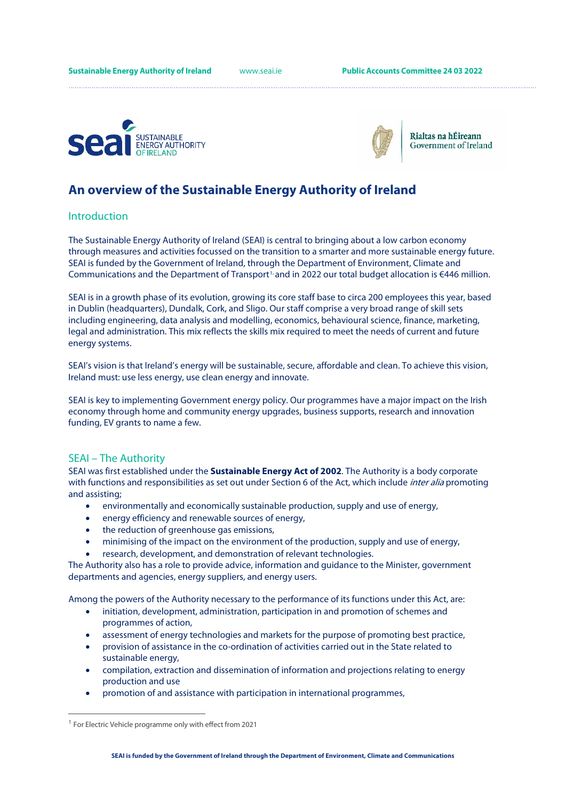



Rialtas na hÉireann Government of Ireland

# **An overview of the Sustainable Energy Authority of Ireland**

## **Introduction**

The Sustainable Energy Authority of Ireland (SEAI) is central to bringing about a low carbon economy through measures and activities focussed on the transition to a smarter and more sustainable energy future. SEAI is funded by the Government of Ireland, through the Department of Environment, Climate and Communications and the Department of Transport<sup>[1,](#page-3-0)</sup> and in 2022 our total budget allocation is  $€446$  million.

SEAI is in a growth phase of its evolution, growing its core staff base to circa 200 employees this year, based in Dublin (headquarters), Dundalk, Cork, and Sligo. Our staff comprise a very broad range of skill sets including engineering, data analysis and modelling, economics, behavioural science, finance, marketing, legal and administration. This mix reflects the skills mix required to meet the needs of current and future energy systems.

SEAI's vision is that Ireland's energy will be sustainable, secure, affordable and clean. To achieve this vision, Ireland must: use less energy, use clean energy and innovate.

SEAI is key to implementing Government energy policy. Our programmes have a major impact on the Irish economy through home and community energy upgrades, business supports, research and innovation funding, EV grants to name a few.

## SEAI – The Authority

SEAI was first established under the **Sustainable Energy Act of 2002**. The Authority is a body corporate with functions and responsibilities as set out under Section 6 of the Act, which include *inter alia* promoting and assisting;

- environmentally and economically sustainable production, supply and use of energy,
- energy efficiency and renewable sources of energy,
- the reduction of greenhouse gas emissions,
- minimising of the impact on the environment of the production, supply and use of energy,
- research, development, and demonstration of relevant technologies.

The Authority also has a role to provide advice, information and guidance to the Minister, government departments and agencies, energy suppliers, and energy users.

Among the powers of the Authority necessary to the performance of its functions under this Act, are:

- initiation, development, administration, participation in and promotion of schemes and programmes of action,
- assessment of energy technologies and markets for the purpose of promoting best practice,
- provision of assistance in the co-ordination of activities carried out in the State related to sustainable energy,
- compilation, extraction and dissemination of information and projections relating to energy production and use
- promotion of and assistance with participation in international programmes,

<span id="page-3-0"></span> $1$  For Electric Vehicle programme only with effect from 2021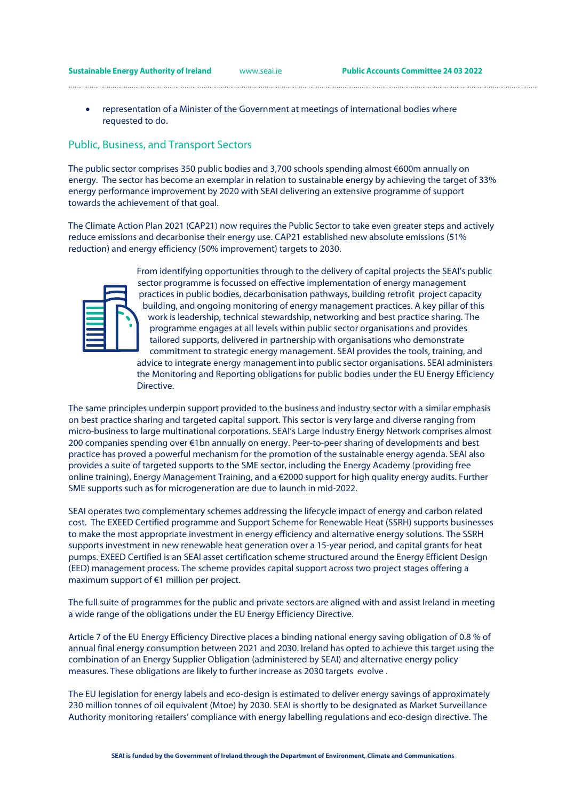• representation of a Minister of the Government at meetings of international bodies where requested to do.

## Public, Business, and Transport Sectors

The public sector comprises 350 public bodies and 3,700 schools spending almost €600m annually on energy. The sector has become an exemplar in relation to sustainable energy by achieving the target of 33% energy performance improvement by 2020 with SEAI delivering an extensive programme of support towards the achievement of that goal.

The Climate Action Plan 2021 (CAP21) now requires the Public Sector to take even greater steps and actively reduce emissions and decarbonise their energy use. CAP21 established new absolute emissions (51% reduction) and energy efficiency (50% improvement) targets to 2030.



From identifying opportunities through to the delivery of capital projects the SEAI's public sector programme is focussed on effective implementation of energy management practices in public bodies, decarbonisation pathways, building retrofit project capacity building, and ongoing monitoring of energy management practices. A key pillar of this work is leadership, technical stewardship, networking and best practice sharing. The programme engages at all levels within public sector organisations and provides tailored supports, delivered in partnership with organisations who demonstrate commitment to strategic energy management. SEAI provides the tools, training, and advice to integrate energy management into public sector organisations. SEAI administers the Monitoring and Reporting obligations for public bodies under the EU Energy Efficiency Directive.

The same principles underpin support provided to the business and industry sector with a similar emphasis on best practice sharing and targeted capital support. This sector is very large and diverse ranging from micro-business to large multinational corporations. SEAI's Large Industry Energy Network comprises almost 200 companies spending over €1bn annually on energy. Peer-to-peer sharing of developments and best practice has proved a powerful mechanism for the promotion of the sustainable energy agenda. SEAI also provides a suite of targeted supports to the SME sector, including the Energy Academy (providing free online training), Energy Management Training, and a €2000 support for high quality energy audits. Further SME supports such as for microgeneration are due to launch in mid-2022.

SEAI operates two complementary schemes addressing the lifecycle impact of energy and carbon related cost. The EXEED Certified programme and Support Scheme for Renewable Heat (SSRH) supports businesses to make the most appropriate investment in energy efficiency and alternative energy solutions. The SSRH supports investment in new renewable heat generation over a 15-year period, and capital grants for heat pumps. EXEED Certified is an SEAI asset certification scheme structured around the Energy Efficient Design (EED) management process. The scheme provides capital support across two project stages offering a maximum support of €1 million per project.

The full suite of programmes for the public and private sectors are aligned with and assist Ireland in meeting a wide range of the obligations under the EU Energy Efficiency Directive.

Article 7 of the EU Energy Efficiency Directive places a binding national energy saving obligation of 0.8 % of annual final energy consumption between 2021 and 2030. Ireland has opted to achieve this target using the combination of an Energy Supplier Obligation (administered by SEAI) and alternative energy policy measures. These obligations are likely to further increase as 2030 targets evolve .

The EU legislation for energy labels and eco-design is estimated to deliver energy savings of approximately 230 million tonnes of oil equivalent (Mtoe) by 2030. SEAI is shortly to be designated as Market Surveillance Authority monitoring retailers' compliance with energy labelling regulations and eco-design directive. The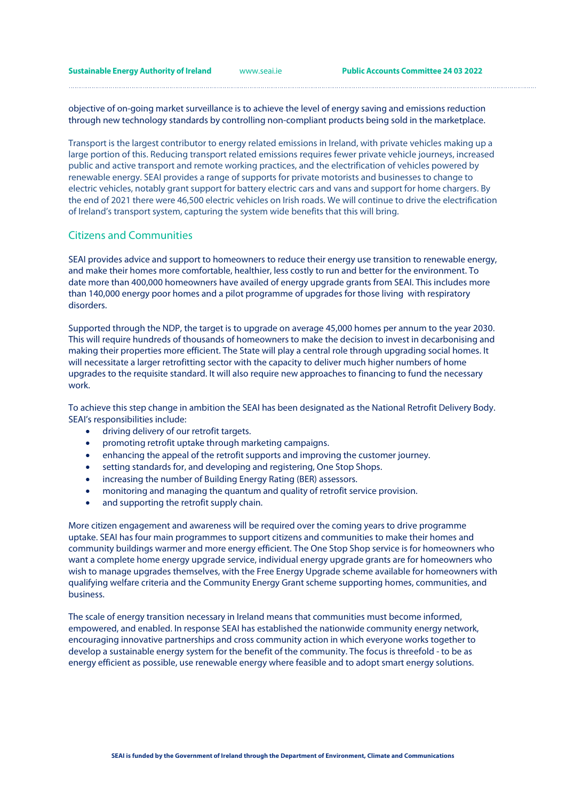**Sustainable Energy Authority of Ireland** [www.seai.ie](http://www.seai.ie/) **Public Accounts Committee 24 03 2022**

objective of on-going market surveillance is to achieve the level of energy saving and emissions reduction through new technology standards by controlling non-compliant products being sold in the marketplace.

Transport is the largest contributor to energy related emissions in Ireland, with private vehicles making up a large portion of this. Reducing transport related emissions requires fewer private vehicle journeys, increased public and active transport and remote working practices, and the electrification of vehicles powered by renewable energy. SEAI provides a range of supports for private motorists and businesses to change to electric vehicles, notably grant support for battery electric cars and vans and support for home chargers. By the end of 2021 there were 46,500 electric vehicles on Irish roads. We will continue to drive the electrification of Ireland's transport system, capturing the system wide benefits that this will bring.

# Citizens and Communities

SEAI provides advice and support to homeowners to reduce their energy use transition to renewable energy, and make their homes more comfortable, healthier, less costly to run and better for the environment. To date more than 400,000 homeowners have availed of energy upgrade grants from SEAI. This includes more than 140,000 energy poor homes and a pilot programme of upgrades for those living with respiratory disorders.

Supported through the NDP, the target is to upgrade on average 45,000 homes per annum to the year 2030. This will require hundreds of thousands of homeowners to make the decision to invest in decarbonising and making their properties more efficient. The State will play a central role through upgrading social homes. It will necessitate a larger retrofitting sector with the capacity to deliver much higher numbers of home upgrades to the requisite standard. It will also require new approaches to financing to fund the necessary work.

To achieve this step change in ambition the SEAI has been designated as the National Retrofit Delivery Body. SEAI's responsibilities include:

- driving delivery of our retrofit targets.
- promoting retrofit uptake through marketing campaigns.
- enhancing the appeal of the retrofit supports and improving the customer journey.
- setting standards for, and developing and registering, One Stop Shops.
- increasing the number of Building Energy Rating (BER) assessors.
- monitoring and managing the quantum and quality of retrofit service provision.
- and supporting the retrofit supply chain.

More citizen engagement and awareness will be required over the coming years to drive programme uptake. SEAI has four main programmes to support citizens and communities to make their homes and community buildings warmer and more energy efficient. The One Stop Shop service is for homeowners who want a complete home energy upgrade service, individual energy upgrade grants are for homeowners who wish to manage upgrades themselves, with the Free Energy Upgrade scheme available for homeowners with qualifying welfare criteria and the Community Energy Grant scheme supporting homes, communities, and business.

The scale of energy transition necessary in Ireland means that communities must become informed, empowered, and enabled. In response SEAI has established the nationwide community energy network, encouraging innovative partnerships and cross community action in which everyone works together to develop a sustainable energy system for the benefit of the community. The focus is threefold - to be as energy efficient as possible, use renewable energy where feasible and to adopt smart energy solutions.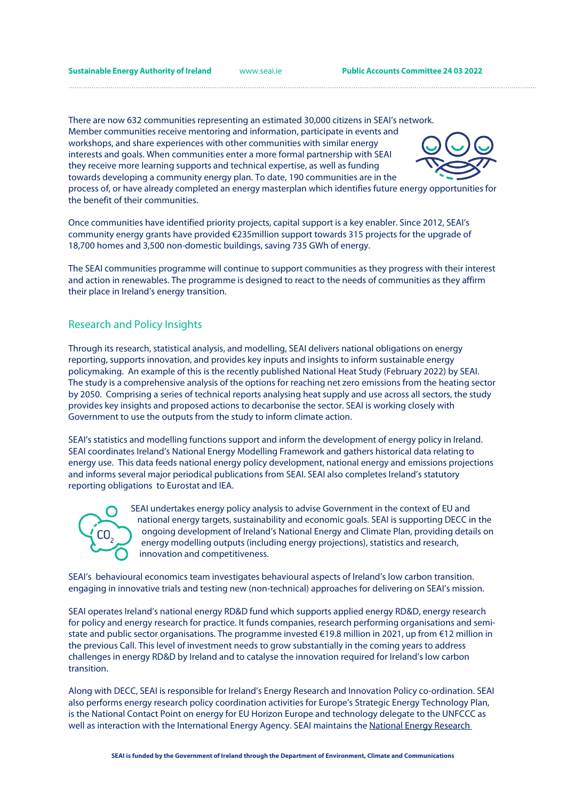There are now 632 communities representing an estimated 30,000 citizens in SEAI's network. Member communities receive mentoring and information, participate in events and workshops, and share experiences with other communities with similar energy interests and goals. When communities enter a more formal partnership with SEAI they receive more learning supports and technical expertise, as well as funding towards developing a community energy plan. To date, 190 communities are in the



process of, or have already completed an energy masterplan which identifies future energy opportunities for the benefit of their communities.

Once communities have identified priority projects, capital support is a key enabler. Since 2012, SEAI's community energy grants have provided €235million support towards 315 projects for the upgrade of 18,700 homes and 3,500 non-domestic buildings, saving 735 GWh of energy.

The SEAI communities programme will continue to support communities as they progress with their interest and action in renewables. The programme is designed to react to the needs of communities as they affirm their place in Ireland's energy transition.

## Research and Policy Insights

Through its research, statistical analysis, and modelling, SEAI delivers national obligations on energy reporting, supports innovation, and provides key inputs and insights to inform sustainable energy policymaking. An example of this is the recently published National Heat Study (February 2022) by SEAI. The study is a comprehensive analysis of the options for reaching net zero emissions from the heating sector by 2050. Comprising a series of technical reports analysing heat supply and use across all sectors, the study provides key insights and proposed actions to decarbonise the sector. SEAI is working closely with Government to use the outputs from the study to inform climate action.

SEAI's statistics and modelling functions support and inform the development of energy policy in Ireland. SEAI coordinates Ireland's National Energy Modelling Framework and gathers historical data relating to energy use. This data feeds national energy policy development, national energy and emissions projections and informs several major periodical publications from SEAI. SEAI also completes Ireland's statutory reporting obligations to Eurostat and IEA.



SEAI undertakes energy policy analysis to advise Government in the context of EU and national energy targets, sustainability and economic goals. SEAI is supporting DECC in the ongoing development of Ireland's National Energy and Climate Plan, providing details on energy modelling outputs (including energy projections), statistics and research, innovation and competitiveness.

SEAI's behavioural economics team investigates behavioural aspects of Ireland's low carbon transition. engaging in innovative trials and testing new (non-technical) approaches for delivering on SEAI's mission.

SEAI operates Ireland's national energy RD&D fund which supports applied energy RD&D, energy research for policy and energy research for practice. It funds companies, research performing organisations and semistate and public sector organisations. The programme invested €19.8 million in 2021, up from €12 million in the previous Call. This level of investment needs to grow substantially in the coming years to address challenges in energy RD&D by Ireland and to catalyse the innovation required for Ireland's low carbon transition.

Along with DECC, SEAI is responsible for Ireland's Energy Research and Innovation Policy co-ordination. SEAI also performs energy research policy coordination activities for Europe's Strategic Energy Technology Plan, is the National Contact Point on energy for EU Horizon Europe and technology delegate to the UNFCCC as well as interaction with the International Energy Agency. SEAI maintains the National Energy Research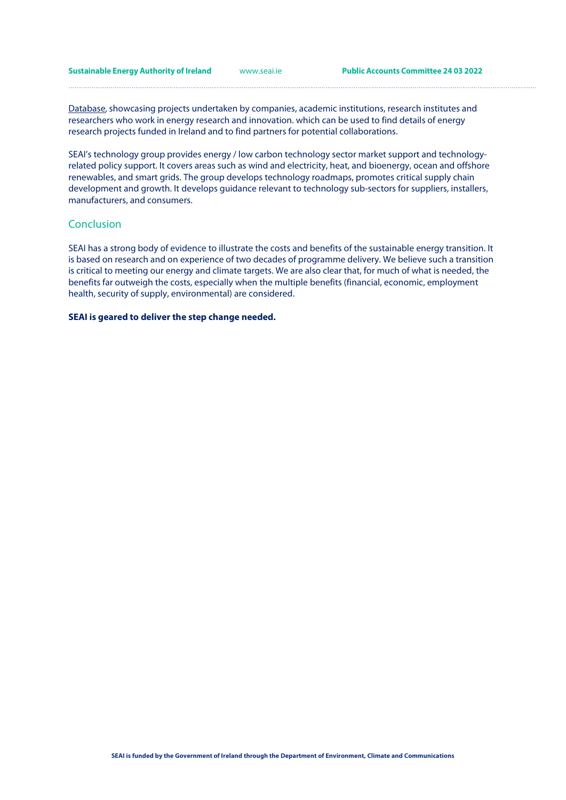**Sustainable Energy Authority of Ireland** [www.seai.ie](http://www.seai.ie/) **Public Accounts Committee 24 03 2022**

[Database,](https://www.seai.ie/data-and-insights/seai-research/research-projects/) showcasing projects undertaken by companies, academic institutions, research institutes and researchers who work in energy research and innovation. which can be used to find details of energy research projects funded in Ireland and to find partners for potential collaborations.

SEAI's technology group provides energy / low carbon technology sector market support and technologyrelated policy support. It covers areas such as wind and electricity, heat, and bioenergy, ocean and offshore renewables, and smart grids. The group develops technology roadmaps, promotes critical supply chain development and growth. It develops guidance relevant to technology sub-sectors for suppliers, installers, manufacturers, and consumers.

# Conclusion

SEAI has a strong body of evidence to illustrate the costs and benefits of the sustainable energy transition. It is based on research and on experience of two decades of programme delivery. We believe such a transition is critical to meeting our energy and climate targets. We are also clear that, for much of what is needed, the benefits far outweigh the costs, especially when the multiple benefits (financial, economic, employment health, security of supply, environmental) are considered.

### **SEAI is geared to deliver the step change needed.**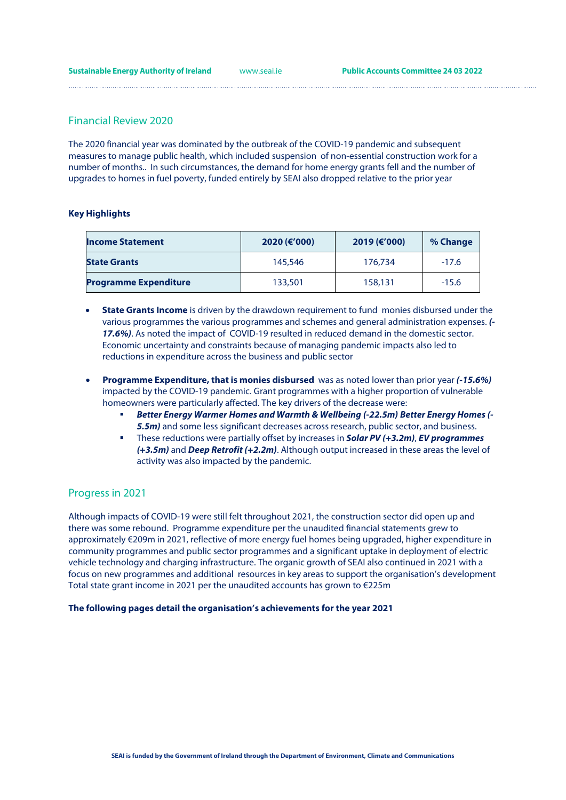# Financial Review 2020

The 2020 financial year was dominated by the outbreak of the COVID-19 pandemic and subsequent measures to manage public health, which included suspension of non-essential construction work for a number of months.. In such circumstances, the demand for home energy grants fell and the number of upgrades to homes in fuel poverty, funded entirely by SEAI also dropped relative to the prior year

## **Key Highlights**

| <b>Income Statement</b>      | 2020 (€'000) | 2019 (€'000) | % Change |
|------------------------------|--------------|--------------|----------|
| <b>State Grants</b>          | 145,546      | 176,734      | $-17.6$  |
| <b>Programme Expenditure</b> | 133,501      | 158,131      | $-15.6$  |

- **State Grants Income** is driven by the drawdown requirement to fund monies disbursed under the various programmes the various programmes and schemes and general administration expenses. *(- 17.6%)*. As noted the impact of COVID-19 resulted in reduced demand in the domestic sector. Economic uncertainty and constraints because of managing pandemic impacts also led to reductions in expenditure across the business and public sector
- **Programme Expenditure, that is monies disbursed** was as noted lower than prior year *(-15.6%)* impacted by the COVID-19 pandemic. Grant programmes with a higher proportion of vulnerable homeowners were particularly affected. The key drivers of the decrease were:
	- *Better Energy Warmer Homes and Warmth & Wellbeing (-22.5m) Better Energy Homes (- 5.5m)* and some less significant decreases across research, public sector, and business.
	- These reductions were partially offset by increases in *Solar PV (+3.2m)*, *EV programmes (+3.5m)* and *Deep Retrofit (+2.2m)*. Although output increased in these areas the level of activity was also impacted by the pandemic.

# Progress in 2021

Although impacts of COVID-19 were still felt throughout 2021, the construction sector did open up and there was some rebound. Programme expenditure per the unaudited financial statements grew to approximately €209m in 2021, reflective of more energy fuel homes being upgraded, higher expenditure in community programmes and public sector programmes and a significant uptake in deployment of electric vehicle technology and charging infrastructure. The organic growth of SEAI also continued in 2021 with a focus on new programmes and additional resources in key areas to support the organisation's development Total state grant income in 2021 per the unaudited accounts has grown to €225m

### **The following pages detail the organisation's achievements for the year 2021**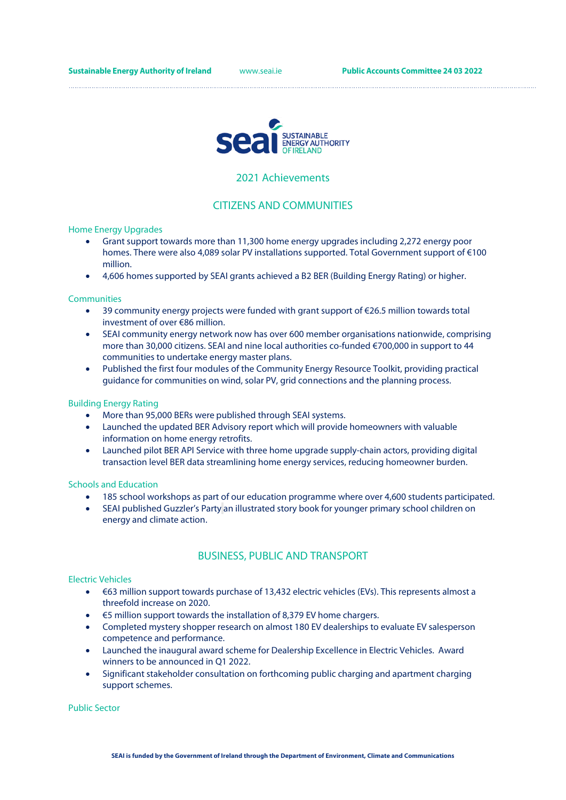

## 2021 Achievements

# CITIZENS AND COMMUNITIES

Home Energy Upgrades

- Grant support towards more than 11,300 home energy upgrades including 2,272 energy poor homes. There were also 4,089 solar PV installations supported. Total Government support of €100 million.
- 4,606 homes supported by SEAI grants achieved a B2 BER (Building Energy Rating) or higher.

#### **Communities**

- 39 community energy projects were funded with grant support of €26.5 million towards total investment of over €86 million.
- SEAI community energy network now has over 600 member organisations nationwide, comprising more than 30,000 citizens. SEAI and nine local authorities co-funded €700,000 in support to 44 communities to undertake energy master plans.
- Published the first four modules of the Community Energy Resource Toolkit, providing practical guidance for communities on wind, solar PV, grid connections and the planning process.

#### Building Energy Rating

- More than 95,000 BERs were published through SEAI systems.
- Launched the updated BER Advisory report which will provide homeowners with valuable information on home energy retrofits.
- Launched pilot BER API Service with three home upgrade supply-chain actors, providing digital transaction level BER data streamlining home energy services, reducing homeowner burden.

#### Schools and Education

- 185 school workshops as part of our education programme where over 4,600 students participated.
- SEAI published Guzzler's Party an illustrated story book for younger primary school children on energy and climate action.

# BUSINESS, PUBLIC AND TRANSPORT

#### Electric Vehicles

- €63 million support towards purchase of 13,432 electric vehicles (EVs). This represents almost a threefold increase on 2020.
- €5 million support towards the installation of 8,379 EV home chargers.
- Completed mystery shopper research on almost 180 EV dealerships to evaluate EV salesperson competence and performance.
- Launched the inaugural award scheme for Dealership Excellence in Electric Vehicles. Award winners to be announced in Q1 2022.
- Significant stakeholder consultation on forthcoming public charging and apartment charging support schemes.

Public Sector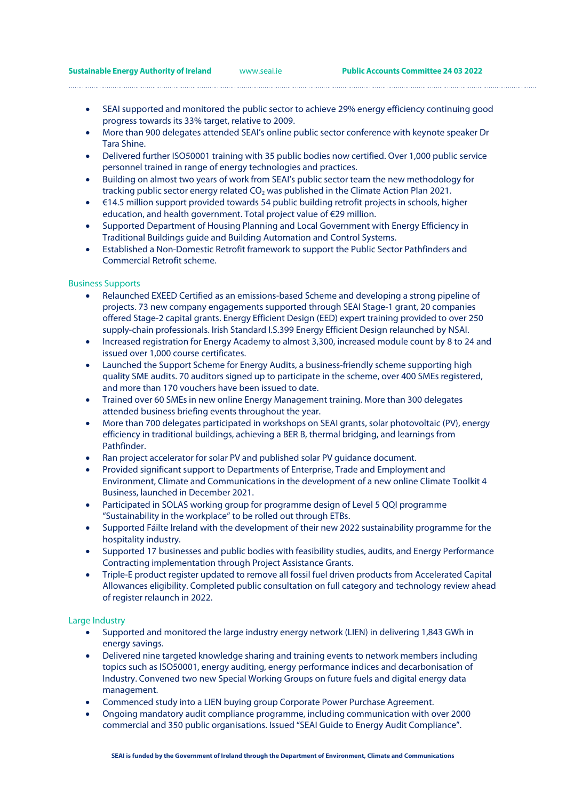• SEAI supported and monitored the public sector to achieve 29% energy efficiency continuing good progress towards its 33% target, relative to 2009.

- More than 900 delegates attended SEAI's online public sector conference with keynote speaker Dr Tara Shine.
- Delivered further ISO50001 training with 35 public bodies now certified. Over 1,000 public service personnel trained in range of energy technologies and practices.
- Building on almost two years of work from SEAI's public sector team the new methodology for tracking public sector energy related  $CO<sub>2</sub>$  was published in the Climate Action Plan 2021.
- €14.5 million support provided towards 54 public building retrofit projects in schools, higher education, and health government. Total project value of €29 million.
- Supported Department of Housing Planning and Local Government with Energy Efficiency in Traditional Buildings guide and Building Automation and Control Systems.
- Established a Non-Domestic Retrofit framework to support the Public Sector Pathfinders and Commercial Retrofit scheme.

#### Business Supports

- Relaunched EXEED Certified as an emissions-based Scheme and developing a strong pipeline of projects. 73 new company engagements supported through SEAI Stage-1 grant, 20 companies offered Stage-2 capital grants. Energy Efficient Design (EED) expert training provided to over 250 supply-chain professionals. Irish Standard I.S.399 Energy Efficient Design relaunched by NSAI.
- Increased registration for Energy Academy to almost 3.300, increased module count by 8 to 24 and issued over 1,000 course certificates.
- Launched the Support Scheme for Energy Audits, a business-friendly scheme supporting high quality SME audits. 70 auditors signed up to participate in the scheme, over 400 SMEs registered, and more than 170 vouchers have been issued to date.
- Trained over 60 SMEs in new online Energy Management training. More than 300 delegates attended business briefing events throughout the year.
- More than 700 delegates participated in workshops on SEAI grants, solar photovoltaic (PV), energy efficiency in traditional buildings, achieving a BER B, thermal bridging, and learnings from Pathfinder.
- Ran project accelerator for solar PV and published solar PV guidance document.
- Provided significant support to Departments of Enterprise, Trade and Employment and Environment, Climate and Communications in the development of a new online Climate Toolkit 4 Business, launched in December 2021.
- Participated in SOLAS working group for programme design of Level 5 QQI programme "Sustainability in the workplace" to be rolled out through ETBs.
- Supported Fáilte Ireland with the development of their new 2022 sustainability programme for the hospitality industry.
- Supported 17 businesses and public bodies with feasibility studies, audits, and Energy Performance Contracting implementation through Project Assistance Grants.
- Triple-E product register updated to remove all fossil fuel driven products from Accelerated Capital Allowances eligibility. Completed public consultation on full category and technology review ahead of register relaunch in 2022.

#### Large Industry

- Supported and monitored the large industry energy network (LIEN) in delivering 1,843 GWh in energy savings.
- Delivered nine targeted knowledge sharing and training events to network members including topics such as ISO50001, energy auditing, energy performance indices and decarbonisation of Industry. Convened two new Special Working Groups on future fuels and digital energy data management.
- Commenced study into a LIEN buying group Corporate Power Purchase Agreement.
- Ongoing mandatory audit compliance programme, including communication with over 2000 commercial and 350 public organisations. Issued "SEAI Guide to Energy Audit Compliance".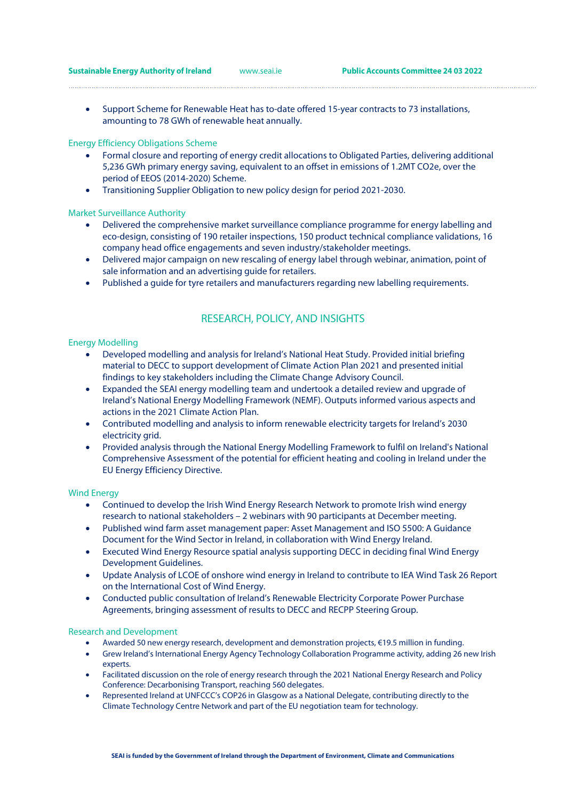• Support Scheme for Renewable Heat has to-date offered 15-year contracts to 73 installations, amounting to 78 GWh of renewable heat annually.

### Energy Efficiency Obligations Scheme

- Formal closure and reporting of energy credit allocations to Obligated Parties, delivering additional 5,236 GWh primary energy saving, equivalent to an offset in emissions of 1.2MT CO2e, over the period of EEOS (2014-2020) Scheme.
- Transitioning Supplier Obligation to new policy design for period 2021-2030.

#### Market Surveillance Authority

- Delivered the comprehensive market surveillance compliance programme for energy labelling and eco-design, consisting of 190 retailer inspections, 150 product technical compliance validations, 16 company head office engagements and seven industry/stakeholder meetings.
- Delivered major campaign on new rescaling of energy label through webinar, animation, point of sale information and an advertising guide for retailers.
- Published a guide for tyre retailers and manufacturers regarding new labelling requirements.

# RESEARCH, POLICY, AND INSIGHTS

#### Energy Modelling

- Developed modelling and analysis for Ireland's National Heat Study. Provided initial briefing material to DECC to support development of Climate Action Plan 2021 and presented initial findings to key stakeholders including the Climate Change Advisory Council.
- Expanded the SEAI energy modelling team and undertook a detailed review and upgrade of Ireland's National Energy Modelling Framework (NEMF). Outputs informed various aspects and actions in the 2021 Climate Action Plan.
- Contributed modelling and analysis to inform renewable electricity targets for Ireland's 2030 electricity grid.
- Provided analysis through the National Energy Modelling Framework to fulfil on Ireland's National Comprehensive Assessment of the potential for efficient heating and cooling in Ireland under the EU Energy Efficiency Directive.

#### Wind Energy

- Continued to develop the Irish Wind Energy Research Network to promote Irish wind energy research to national stakeholders – 2 webinars with 90 participants at December meeting.
- Published wind farm asset management paper: Asset Management and ISO 5500: A Guidance Document for the Wind Sector in Ireland, in collaboration with Wind Energy Ireland.
- Executed Wind Energy Resource spatial analysis supporting DECC in deciding final Wind Energy Development Guidelines.
- Update Analysis of LCOE of onshore wind energy in Ireland to contribute to IEA Wind Task 26 Report on the International Cost of Wind Energy.
- Conducted public consultation of Ireland's Renewable Electricity Corporate Power Purchase Agreements, bringing assessment of results to DECC and RECPP Steering Group.

#### Research and Development

- Awarded 50 new energy research, development and demonstration projects, €19.5 million in funding.
- Grew Ireland's International Energy Agency Technology Collaboration Programme activity, adding 26 new Irish experts.
- Facilitated discussion on the role of energy research through the 2021 National Energy Research and Policy Conference: Decarbonising Transport, reaching 560 delegates.
- Represented Ireland at UNFCCC's COP26 in Glasgow as a National Delegate, contributing directly to the Climate Technology Centre Network and part of the EU negotiation team for technology.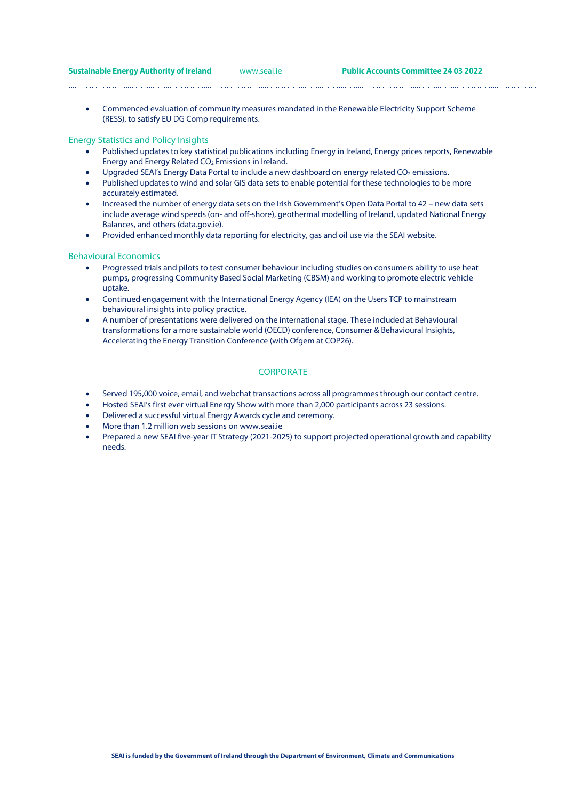**Sustainable Energy Authority of Ireland** [www.seai.ie](http://www.seai.ie/) **Public Accounts Committee 24 03 2022**

• Commenced evaluation of community measures mandated in the Renewable Electricity Support Scheme (RESS), to satisfy EU DG Comp requirements.

#### Energy Statistics and Policy Insights

- Published updates to key statistical publications including Energy in Ireland, Energy prices reports, Renewable Energy and Energy Related CO2 Emissions in Ireland.
- Upgraded SEAI's Energy Data Portal to include a new dashboard on energy related CO<sub>2</sub> emissions.
- Published updates to wind and solar GIS data sets to enable potential for these technologies to be more accurately estimated.
- Increased the number of energy data sets on the Irish Government's Open Data Portal to 42 new data sets include average wind speeds (on- and off-shore), geothermal modelling of Ireland, updated National Energy Balances, and others (data.gov.ie).
- Provided enhanced monthly data reporting for electricity, gas and oil use via the SEAI website.

#### Behavioural Economics

- Progressed trials and pilots to test consumer behaviour including studies on consumers ability to use heat pumps, progressing Community Based Social Marketing (CBSM) and working to promote electric vehicle uptake.
- Continued engagement with the International Energy Agency (IEA) on the Users TCP to mainstream behavioural insights into policy practice.
- A number of presentations were delivered on the international stage. These included at Behavioural transformations for a more sustainable world (OECD) conference, Consumer & Behavioural Insights, Accelerating the Energy Transition Conference (with Ofgem at COP26).

## **CORPORATE**

- Served 195,000 voice, email, and webchat transactions across all programmes through our contact centre.
- Hosted SEAI's first ever virtual Energy Show with more than 2,000 participants across 23 sessions.
- Delivered a successful virtual Energy Awards cycle and ceremony.
- More than 1.2 million web sessions o[n www.seai.ie](http://www.seai.ie/)
- Prepared a new SEAI five-year IT Strategy (2021-2025) to support projected operational growth and capability needs.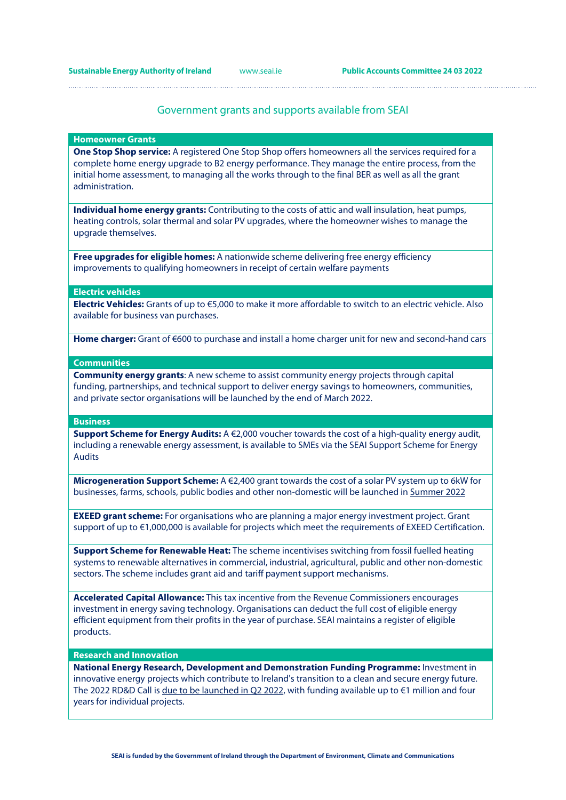## Government grants and supports available from SEAI

#### **Homeowner Grants**

**One Stop Shop service:** A registered One Stop Shop offers homeowners all the services required for a complete home energy upgrade to B2 energy performance. They manage the entire process, from the initial home assessment, to managing all the works through to the final BER as well as all the grant administration.

**Individual home energy grants:** Contributing to the costs of attic and wall insulation, heat pumps, heating controls, solar thermal and solar PV upgrades, where the homeowner wishes to manage the upgrade themselves.

**Free upgrades for eligible homes:** A nationwide scheme delivering free energy efficiency improvements to qualifying homeowners in receipt of certain welfare payments

#### **Electric vehicles**

**Electric Vehicles:** Grants of up to €5,000 to make it more affordable to switch to an electric vehicle. Also available for business van purchases.

Home charger: Grant of €600 to purchase and install a home charger unit for new and second-hand cars

#### **Communities**

**Community energy grants**: A new scheme to assist community energy projects through capital funding, partnerships, and technical support to deliver energy savings to homeowners, communities, and private sector organisations will be launched by the end of March 2022.

#### **Business**

**Support Scheme for Energy Audits:** A €2,000 voucher towards the cost of a high-quality energy audit, including a renewable energy assessment, is available to SMEs via the SEAI Support Scheme for Energy Audits

**Microgeneration Support Scheme:** A €2,400 grant towards the cost of a solar PV system up to 6kW for businesses, farms, schools, public bodies and other non-domestic will be launched in Summer 2022

**EXEED grant scheme:** For organisations who are planning a major energy investment project. Grant support of up to €1,000,000 is available for projects which meet the requirements of EXEED Certification.

**Support Scheme for Renewable Heat:** The scheme incentivises switching from fossil fuelled heating systems to renewable alternatives in commercial, industrial, agricultural, public and other non-domestic sectors. The scheme includes grant aid and tariff payment support mechanisms.

**Accelerated Capital Allowance:** This tax incentive from the Revenue Commissioners encourages investment in energy saving technology. Organisations can deduct the full cost of eligible energy efficient equipment from their profits in the year of purchase. SEAI maintains a register of eligible products.

#### **Research and Innovation**

**National Energy Research, Development and Demonstration Funding Programme:** Investment in innovative energy projects which contribute to Ireland's transition to a clean and secure energy future. The 2022 RD&D Call is due to be launched in Q2 2022, with funding available up to €1 million and four years for individual projects.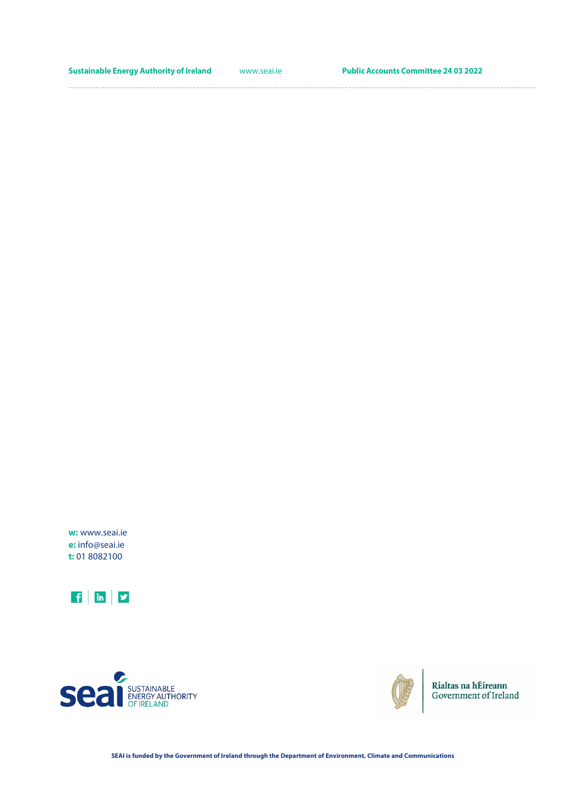**Sustainable Energy Authority of Ireland** [www.seai.ie](http://www.seai.ie/) **Public Accounts Committee 24 03 2022** 

**w:** www.seai.ie **e:** info@seai.ie **t:** 01 8082100







Rialtas na hÉireann Government of Ireland

**SEAI is funded by the Government of Ireland through the Department of Environment, Climate and Communications**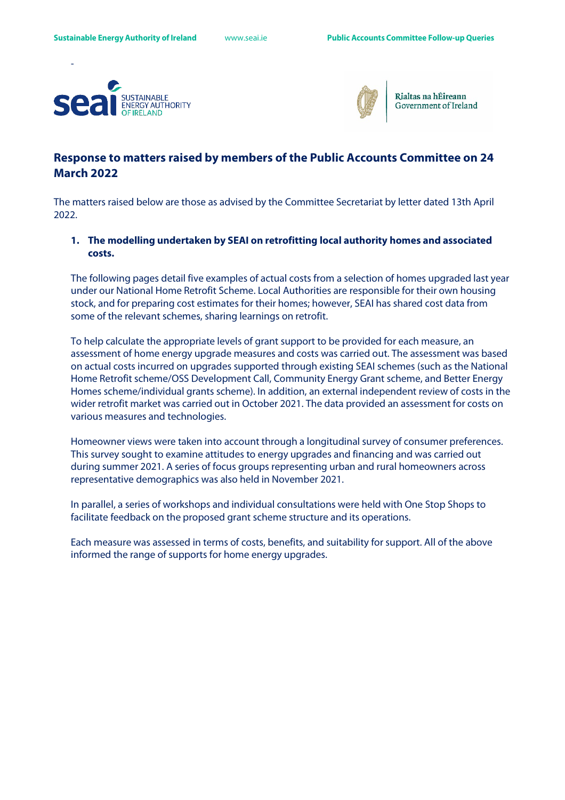



Rialtas na hÉireann Government of Ireland

# **Response to matters raised by members of the Public Accounts Committee on 24 March 2022**

The matters raised below are those as advised by the Committee Secretariat by letter dated 13th April 2022.

# **1. The modelling undertaken by SEAI on retrofitting local authority homes and associated costs.**

The following pages detail five examples of actual costs from a selection of homes upgraded last year under our National Home Retrofit Scheme. Local Authorities are responsible for their own housing stock, and for preparing cost estimates for their homes; however, SEAI has shared cost data from some of the relevant schemes, sharing learnings on retrofit.

To help calculate the appropriate levels of grant support to be provided for each measure, an assessment of home energy upgrade measures and costs was carried out. The assessment was based on actual costs incurred on upgrades supported through existing SEAI schemes (such as the National Home Retrofit scheme/OSS Development Call, Community Energy Grant scheme, and Better Energy Homes scheme/individual grants scheme). In addition, an external independent review of costs in the wider retrofit market was carried out in October 2021. The data provided an assessment for costs on various measures and technologies.

Homeowner views were taken into account through a longitudinal survey of consumer preferences. This survey sought to examine attitudes to energy upgrades and financing and was carried out during summer 2021. A series of focus groups representing urban and rural homeowners across representative demographics was also held in November 2021.

In parallel, a series of workshops and individual consultations were held with One Stop Shops to facilitate feedback on the proposed grant scheme structure and its operations.

Each measure was assessed in terms of costs, benefits, and suitability for support. All of the above informed the range of supports for home energy upgrades.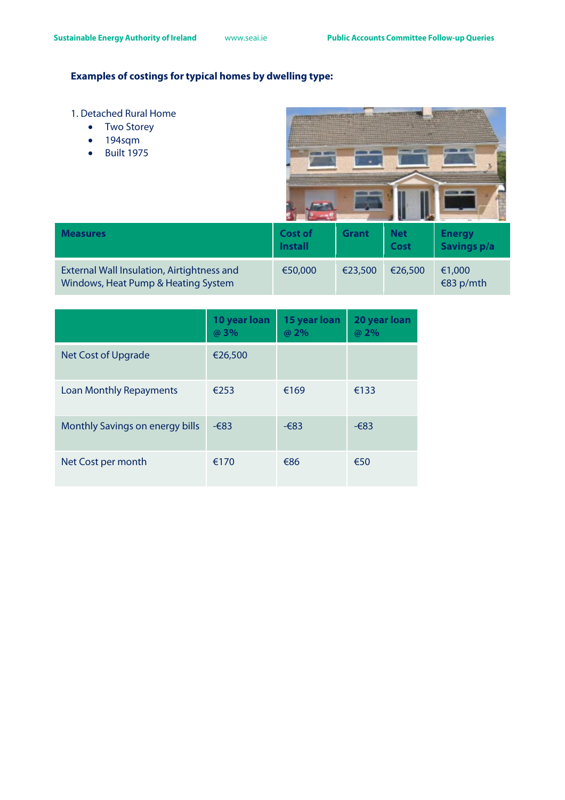# **Examples of costings for typical homes by dwelling type:**

- 1. Detached Rural Home
	- Two Storey
	- 194sqm
	- Built 1975



| <b>Measures</b>                                                                   | Cost of<br><b>Install</b> | <b>Grant</b> | <b>Net</b><br>Cost | <b>Energy</b><br><b>Savings p/a</b> |
|-----------------------------------------------------------------------------------|---------------------------|--------------|--------------------|-------------------------------------|
| External Wall Insulation, Airtightness and<br>Windows, Heat Pump & Heating System | €50,000                   | €23,500      | €26,500            | €1,000<br>€83 p/mth                 |

|                                 | 10 year loan<br>@ 3% | 15 year loan<br>@ 2% | 20 year loan<br>@ 2% |
|---------------------------------|----------------------|----------------------|----------------------|
| Net Cost of Upgrade             | €26,500              |                      |                      |
| <b>Loan Monthly Repayments</b>  | €253                 | €169                 | €133                 |
| Monthly Savings on energy bills | $-683$               | $-683$               | $-683$               |
| Net Cost per month              | €170                 | €86                  | €50                  |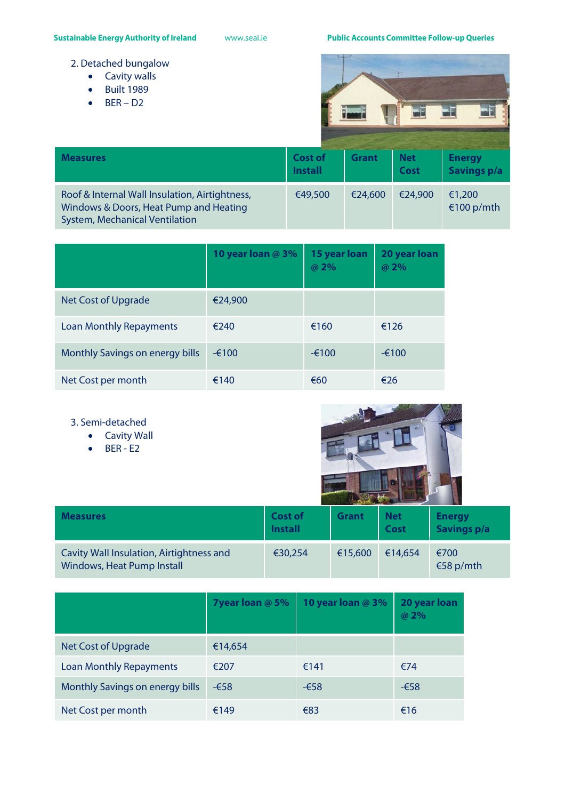**Sustainable Energy Authority of Ireland** [www.seai.ie](http://www.seai.ie/) **Public Accounts Committee Follow-up Queries**

- 2. Detached bungalow
	- Cavity walls
	- Built 1989
	- $\bullet$  BER D2



| <b>Measures</b>                                                                                                                   | <b>Cost of</b><br><b>Install</b> | <b>Grant</b> | <b>Net</b><br><b>Cost</b> | <b>Energy</b><br><b>Savings p/a</b> |
|-----------------------------------------------------------------------------------------------------------------------------------|----------------------------------|--------------|---------------------------|-------------------------------------|
| Roof & Internal Wall Insulation, Airtightness,<br>Windows & Doors, Heat Pump and Heating<br><b>System, Mechanical Ventilation</b> | €49,500                          | €24,600      | €24,900                   | €1,200<br>€100 p/mth                |

|                                 | 10 year loan @ 3% | 15 year loan<br>@ 2% | 20 year loan<br>@ 2% |
|---------------------------------|-------------------|----------------------|----------------------|
| <b>Net Cost of Upgrade</b>      | €24,900           |                      |                      |
| <b>Loan Monthly Repayments</b>  | €240              | €160                 | €126                 |
| Monthly Savings on energy bills | $-6100$           | $-6100$              | $-6100$              |
| Net Cost per month              | €140              | €60                  | €26                  |

- 3. Semi-detached
	- Cavity Wall
	- BER E2



| <b>Measures</b>                                                        | <b>Cost of</b><br><b>Install</b> | <b>Grant</b> | <b>Net</b><br>Cost | <b>Energy</b><br><b>Savings p/a</b> |
|------------------------------------------------------------------------|----------------------------------|--------------|--------------------|-------------------------------------|
| Cavity Wall Insulation, Airtightness and<br>Windows, Heat Pump Install | €30,254                          | €15,600      | €14,654            | €700<br>€58 p/mth                   |

|                                 | 7year loan @ 5% | 10 year loan @ 3% | 20 year loan<br>@ 2% |
|---------------------------------|-----------------|-------------------|----------------------|
| Net Cost of Upgrade             | €14,654         |                   |                      |
| <b>Loan Monthly Repayments</b>  | €207            | €141              | €74                  |
| Monthly Savings on energy bills | $-658$          | -€58              | $-658$               |
| Net Cost per month              | €149            | €83               | €16                  |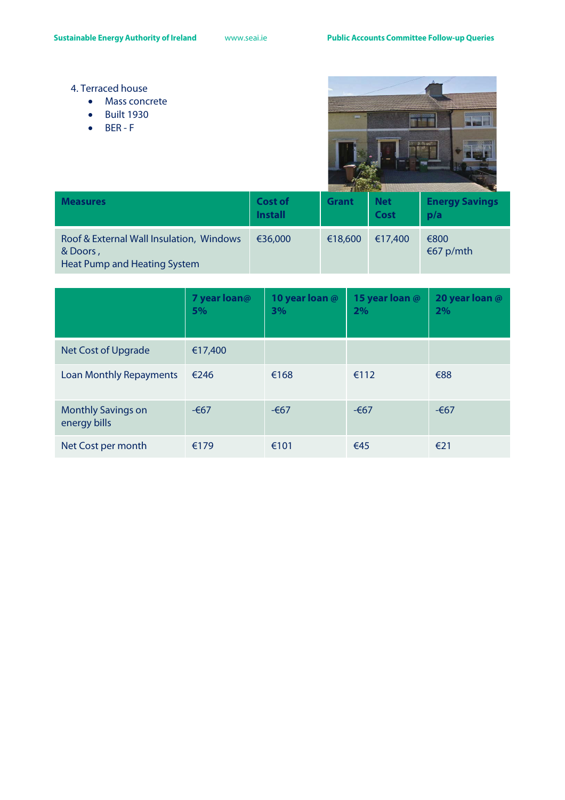- 4. Terraced house
	- Mass concrete
	- Built 1930
	- BER F



| <b>Measures</b>                                                                             | <b>Cost of</b><br><b>Install</b> | <b>Grant</b> | <b>Net</b><br><b>Cost</b> | <b>Energy Savings</b><br>p/a |
|---------------------------------------------------------------------------------------------|----------------------------------|--------------|---------------------------|------------------------------|
| Roof & External Wall Insulation, Windows<br>& Doors,<br><b>Heat Pump and Heating System</b> | €36,000                          | €18,600      | €17,400                   | €800<br>€67 p/mth            |

|                                           | 7 year loan@<br>5% | 10 year loan @<br>3% | 15 year loan @<br>2% | 20 year loan @<br>2% |
|-------------------------------------------|--------------------|----------------------|----------------------|----------------------|
| Net Cost of Upgrade                       | €17,400            |                      |                      |                      |
| <b>Loan Monthly Repayments</b>            | €246               | €168                 | €112                 | €88                  |
| <b>Monthly Savings on</b><br>energy bills | $-667$             | $-667$               | $-667$               | $-667$               |
| Net Cost per month                        | €179               | €101                 | €45                  | €21                  |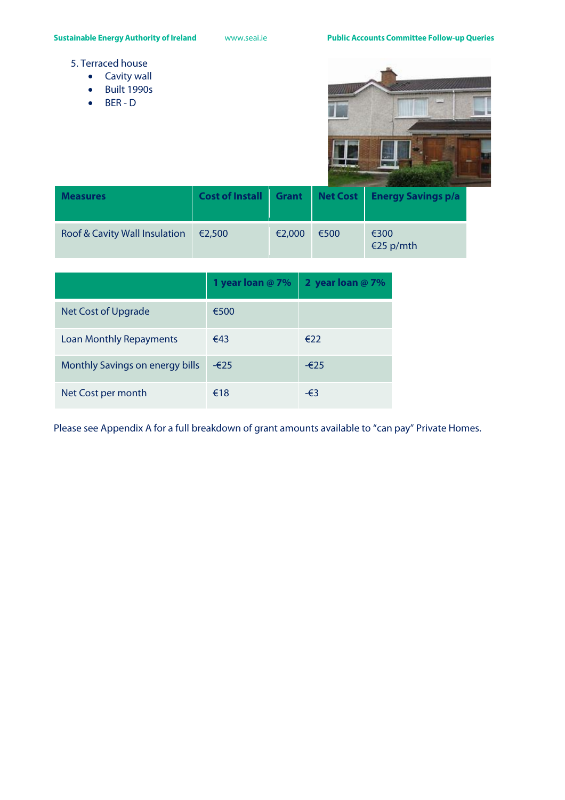- 5. Terraced house
	- Cavity wall
	- Built 1990s
	- BER D



| <b>Measures</b>               | Cost of Install | <b>Grant</b> |      | Net Cost   Energy Savings p/a |
|-------------------------------|-----------------|--------------|------|-------------------------------|
| Roof & Cavity Wall Insulation | €2,500          | €2,000       | €500 | €300<br>€25 p/mth             |

|                                 | 1 year loan @ 7% | 2 year loan $@7\%$ |
|---------------------------------|------------------|--------------------|
| <b>Net Cost of Upgrade</b>      | €500             |                    |
| <b>Loan Monthly Repayments</b>  | €43              | €22                |
| Monthly Savings on energy bills | $-625$           | $-625$             |
| Net Cost per month              | €18              | -€3                |

Please see Appendix A for a full breakdown of grant amounts available to "can pay" Private Homes.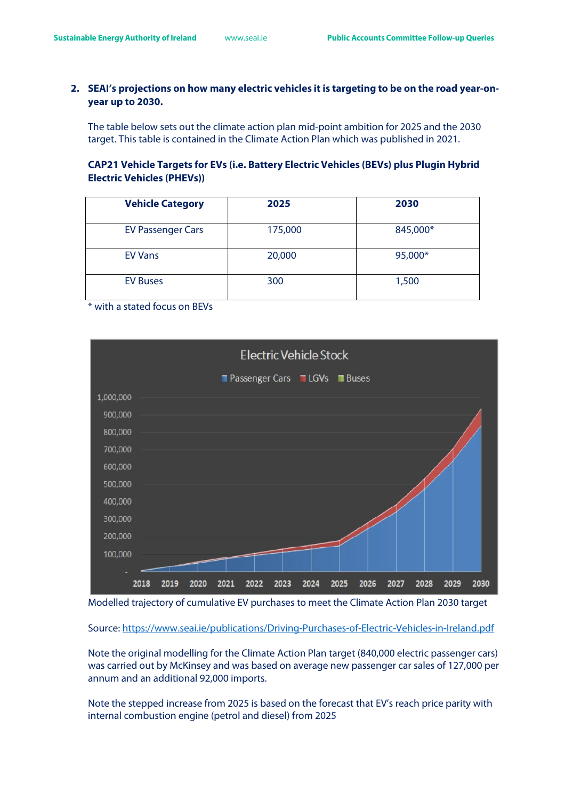# **2. SEAI's projections on how many electric vehicles it is targeting to be on the road year-onyear up to 2030.**

The table below sets out the climate action plan mid-point ambition for 2025 and the 2030 target. This table is contained in the Climate Action Plan which was published in 2021.

# **CAP21 Vehicle Targets for EVs (i.e. Battery Electric Vehicles (BEVs) plus Plugin Hybrid Electric Vehicles (PHEVs))**

| <b>Vehicle Category</b>  | 2025    | 2030     |
|--------------------------|---------|----------|
| <b>EV Passenger Cars</b> | 175,000 | 845,000* |
| <b>EV Vans</b>           | 20,000  | 95,000*  |
| <b>EV Buses</b>          | 300     | 1,500    |

\* with a stated focus on BEVs



Modelled trajectory of cumulative EV purchases to meet the Climate Action Plan 2030 target

Source:<https://www.seai.ie/publications/Driving-Purchases-of-Electric-Vehicles-in-Ireland.pdf>

Note the original modelling for the Climate Action Plan target (840,000 electric passenger cars) was carried out by McKinsey and was based on average new passenger car sales of 127,000 per annum and an additional 92,000 imports.

Note the stepped increase from 2025 is based on the forecast that EV's reach price parity with internal combustion engine (petrol and diesel) from 2025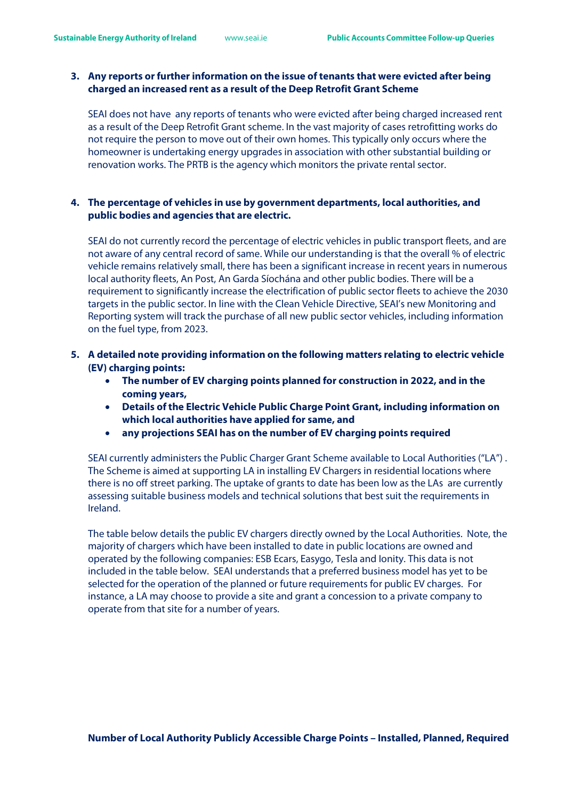# **3. Any reports or further information on the issue of tenants that were evicted after being charged an increased rent as a result of the Deep Retrofit Grant Scheme**

SEAI does not have any reports of tenants who were evicted after being charged increased rent as a result of the Deep Retrofit Grant scheme. In the vast majority of cases retrofitting works do not require the person to move out of their own homes. This typically only occurs where the homeowner is undertaking energy upgrades in association with other substantial building or renovation works. The PRTB is the agency which monitors the private rental sector.

# **4. The percentage of vehicles in use by government departments, local authorities, and public bodies and agencies that are electric.**

SEAI do not currently record the percentage of electric vehicles in public transport fleets, and are not aware of any central record of same. While our understanding is that the overall % of electric vehicle remains relatively small, there has been a significant increase in recent years in numerous local authority fleets, An Post, An Garda Síochána and other public bodies. There will be a requirement to significantly increase the electrification of public sector fleets to achieve the 2030 targets in the public sector. In line with the Clean Vehicle Directive, SEAI's new Monitoring and Reporting system will track the purchase of all new public sector vehicles, including information on the fuel type, from 2023.

- **5. A detailed note providing information on the following matters relating to electric vehicle (EV) charging points:** 
	- **The number of EV charging points planned for construction in 2022, and in the coming years,**
	- **Details of the Electric Vehicle Public Charge Point Grant, including information on which local authorities have applied for same, and**
	- **any projections SEAI has on the number of EV charging points required**

SEAI currently administers the Public Charger Grant Scheme available to Local Authorities ("LA") . The Scheme is aimed at supporting LA in installing EV Chargers in residential locations where there is no off street parking. The uptake of grants to date has been low as the LAs are currently assessing suitable business models and technical solutions that best suit the requirements in Ireland.

The table below details the public EV chargers directly owned by the Local Authorities. Note, the majority of chargers which have been installed to date in public locations are owned and operated by the following companies: ESB Ecars, Easygo, Tesla and Ionity. This data is not included in the table below. SEAI understands that a preferred business model has yet to be selected for the operation of the planned or future requirements for public EV charges. For instance, a LA may choose to provide a site and grant a concession to a private company to operate from that site for a number of years.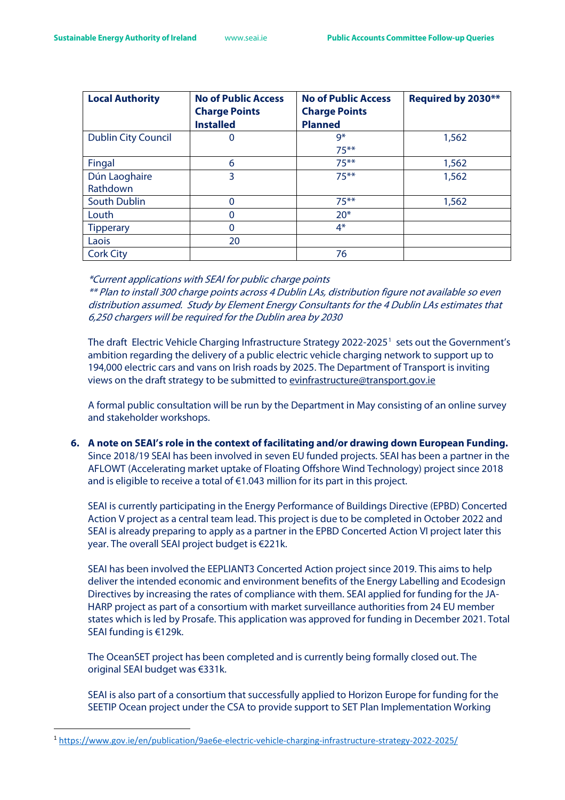| <b>Local Authority</b>     | <b>No of Public Access</b><br><b>Charge Points</b> | <b>No of Public Access</b><br><b>Charge Points</b> | Required by 2030** |
|----------------------------|----------------------------------------------------|----------------------------------------------------|--------------------|
|                            | <b>Installed</b>                                   | <b>Planned</b>                                     |                    |
| <b>Dublin City Council</b> | O                                                  | $9*$                                               | 1,562              |
|                            |                                                    | $75***$                                            |                    |
| Fingal                     | 6                                                  | $75***$                                            | 1,562              |
| Dún Laoghaire              | 3                                                  | $75***$                                            | 1,562              |
| Rathdown                   |                                                    |                                                    |                    |
| South Dublin               | 0                                                  | $75***$                                            | 1,562              |
| Louth                      | 0                                                  | $20*$                                              |                    |
| <b>Tipperary</b>           | $\Omega$                                           | $4*$                                               |                    |
| Laois                      | 20                                                 |                                                    |                    |
| <b>Cork City</b>           |                                                    | 76                                                 |                    |

\*Current applications with SEAI for public charge points

\*\* Plan to install 300 charge points across 4 Dublin LAs, distribution figure not available so even distribution assumed. Study by Element Energy Consultants for the 4 Dublin LAs estimates that 6,250 chargers will be required for the Dublin area by 2030

The draft Electric Vehicle Charging Infrastructure Strategy 2022-2025<sup>[1](#page-22-0)</sup> sets out the Government's ambition regarding the delivery of a public electric vehicle charging network to support up to 194,000 electric cars and vans on Irish roads by 2025. The Department of Transport is inviting views on the draft strategy to be submitted to [evinfrastructure@transport.gov.ie](mailto:evinfrastructure@transport.gov.ie) 

A formal public consultation will be run by the Department in May consisting of an online survey and stakeholder workshops.

**6. A note on SEAI's role in the context of facilitating and/or drawing down European Funding.**  Since 2018/19 SEAI has been involved in seven EU funded projects. SEAI has been a partner in the AFLOWT (Accelerating market uptake of Floating Offshore Wind Technology) project since 2018 and is eligible to receive a total of  $E1.043$  million for its part in this project.

SEAI is currently participating in the Energy Performance of Buildings Directive (EPBD) Concerted Action V project as a central team lead. This project is due to be completed in October 2022 and SEAI is already preparing to apply as a partner in the EPBD Concerted Action VI project later this year. The overall SEAI project budget is €221k.

SEAI has been involved the EEPLIANT3 Concerted Action project since 2019. This aims to help deliver the intended economic and environment benefits of the Energy Labelling and Ecodesign Directives by increasing the rates of compliance with them. SEAI applied for funding for the JA-HARP project as part of a consortium with market surveillance authorities from 24 EU member states which is led by Prosafe. This application was approved for funding in December 2021. Total SEAI funding is €129k.

The OceanSET project has been completed and is currently being formally closed out. The original SEAI budget was €331k.

SEAI is also part of a consortium that successfully applied to Horizon Europe for funding for the SEETIP Ocean project under the CSA to provide support to SET Plan Implementation Working

<span id="page-22-0"></span><sup>1</sup> <https://www.gov.ie/en/publication/9ae6e-electric-vehicle-charging-infrastructure-strategy-2022-2025/>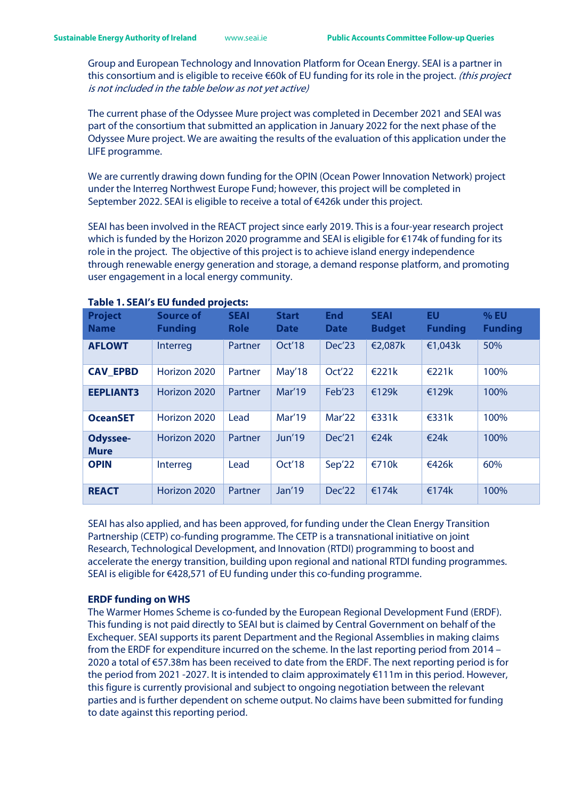Group and European Technology and Innovation Platform for Ocean Energy. SEAI is a partner in this consortium and is eligible to receive €60k of EU funding for its role in the project. (this project is not included in the table below as not yet active)

The current phase of the Odyssee Mure project was completed in December 2021 and SEAI was part of the consortium that submitted an application in January 2022 for the next phase of the Odyssee Mure project. We are awaiting the results of the evaluation of this application under the LIFE programme.

We are currently drawing down funding for the OPIN (Ocean Power Innovation Network) project under the Interreg Northwest Europe Fund; however, this project will be completed in September 2022. SEAI is eligible to receive a total of €426k under this project.

SEAI has been involved in the REACT project since early 2019. This is a four-year research project which is funded by the Horizon 2020 programme and SEAI is eligible for €174k of funding for its role in the project. The objective of this project is to achieve island energy independence through renewable energy generation and storage, a demand response platform, and promoting user engagement in a local energy community.

| <b>Project</b><br><b>Name</b>  | <b>Source of</b><br><b>Funding</b> | <b>SEAI</b><br><b>Role</b> | <b>Start</b><br><b>Date</b> | <b>End</b><br><b>Date</b> | <b>SEAI</b><br><b>Budget</b> | EU<br><b>Funding</b> | % EU<br><b>Funding</b> |
|--------------------------------|------------------------------------|----------------------------|-----------------------------|---------------------------|------------------------------|----------------------|------------------------|
| <b>AFLOWT</b>                  | Interreg                           | Partner                    | Oct'18                      | Dec'23                    | €2,087k                      | €1,043 $k$           | 50%                    |
| <b>CAV_EPBD</b>                | Horizon 2020                       | Partner                    | May'18                      | Oct'22                    | E221k                        | E221k                | 100%                   |
| <b>EEPLIANT3</b>               | Horizon 2020                       | Partner                    | Mar'19                      | Feb'23                    | €129k                        | €129 $k$             | 100%                   |
| <b>OceanSET</b>                | Horizon 2020                       | Lead                       | <b>Mar'19</b>               | Mar'22                    | $\epsilon$ 331 $k$           | $\epsilon$ 331 $k$   | 100%                   |
| <b>Odyssee-</b><br><b>Mure</b> | Horizon 2020                       | Partner                    | Jun'19                      | Dec'21                    | €24 $k$                      | €24 $k$              | 100%                   |
| <b>OPIN</b>                    | Interreg                           | Lead                       | Oct'18                      | Sep'22                    | €710k                        | €426 $k$             | 60%                    |
| <b>REACT</b>                   | Horizon 2020                       | Partner                    | Jan'19                      | Dec'22                    | €174 $k$                     | €174 $k$             | 100%                   |

## **Table 1. SEAI's EU funded projects:**

SEAI has also applied, and has been approved, for funding under the Clean Energy Transition Partnership (CETP) co-funding programme. The CETP is a transnational initiative on joint Research, Technological Development, and Innovation (RTDI) programming to boost and accelerate the energy transition, building upon regional and national RTDI funding programmes. SEAI is eligible for €428,571 of EU funding under this co-funding programme.

## **ERDF funding on WHS**

The Warmer Homes Scheme is co-funded by the European Regional Development Fund (ERDF). This funding is not paid directly to SEAI but is claimed by Central Government on behalf of the Exchequer. SEAI supports its parent Department and the Regional Assemblies in making claims from the ERDF for expenditure incurred on the scheme. In the last reporting period from 2014 – 2020 a total of €57.38m has been received to date from the ERDF. The next reporting period is for the period from 2021 -2027. It is intended to claim approximately €111m in this period. However, this figure is currently provisional and subject to ongoing negotiation between the relevant parties and is further dependent on scheme output. No claims have been submitted for funding to date against this reporting period.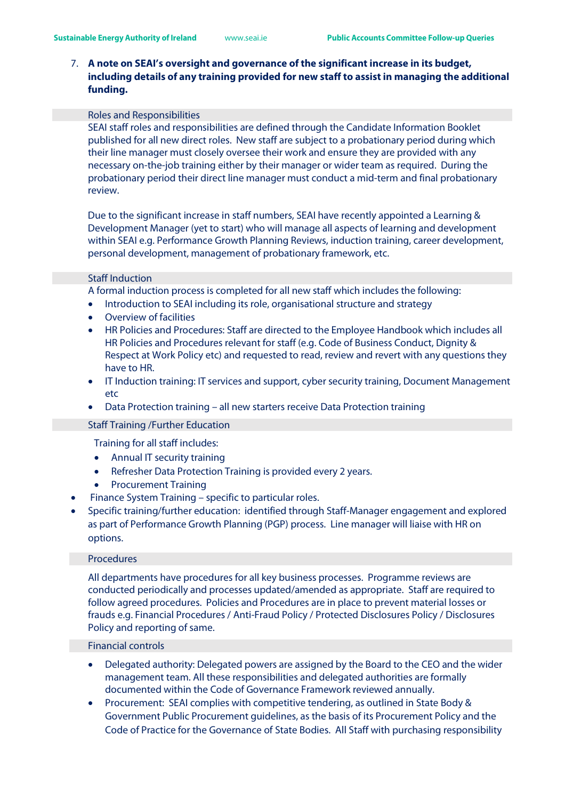# 7. **A note on SEAI's oversight and governance of the significant increase in its budget, including details of any training provided for new staff to assist in managing the additional funding.**

#### Roles and Responsibilities

SEAI staff roles and responsibilities are defined through the Candidate Information Booklet published for all new direct roles. New staff are subject to a probationary period during which their line manager must closely oversee their work and ensure they are provided with any necessary on-the-job training either by their manager or wider team as required. During the probationary period their direct line manager must conduct a mid-term and final probationary review.

Due to the significant increase in staff numbers, SEAI have recently appointed a Learning & Development Manager (yet to start) who will manage all aspects of learning and development within SEAI e.g. Performance Growth Planning Reviews, induction training, career development, personal development, management of probationary framework, etc.

## Staff Induction

A formal induction process is completed for all new staff which includes the following:

- Introduction to SEAI including its role, organisational structure and strategy
- Overview of facilities
- HR Policies and Procedures: Staff are directed to the Employee Handbook which includes all HR Policies and Procedures relevant for staff (e.g. Code of Business Conduct, Dignity & Respect at Work Policy etc) and requested to read, review and revert with any questions they have to HR.
- IT Induction training: IT services and support, cyber security training, Document Management etc
- Data Protection training all new starters receive Data Protection training

## Staff Training /Further Education

Training for all staff includes:

- Annual IT security training
- Refresher Data Protection Training is provided every 2 years.
- Procurement Training
- Finance System Training specific to particular roles.
- Specific training/further education: identified through Staff-Manager engagement and explored as part of Performance Growth Planning (PGP) process. Line manager will liaise with HR on options.

## Procedures

All departments have procedures for all key business processes. Programme reviews are conducted periodically and processes updated/amended as appropriate. Staff are required to follow agreed procedures. Policies and Procedures are in place to prevent material losses or frauds e.g. Financial Procedures / Anti-Fraud Policy / Protected Disclosures Policy / Disclosures Policy and reporting of same.

## Financial controls

- Delegated authority: Delegated powers are assigned by the Board to the CEO and the wider management team. All these responsibilities and delegated authorities are formally documented within the Code of Governance Framework reviewed annually.
- Procurement: SEAI complies with competitive tendering, as outlined in State Body & Government Public Procurement guidelines, as the basis of its Procurement Policy and the Code of Practice for the Governance of State Bodies. All Staff with purchasing responsibility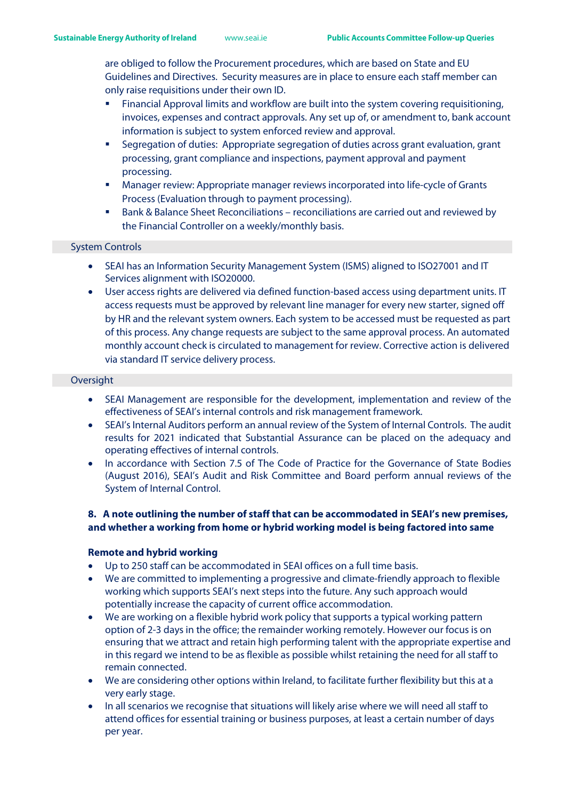are obliged to follow the Procurement procedures, which are based on State and EU Guidelines and Directives. Security measures are in place to ensure each staff member can only raise requisitions under their own ID.

- Financial Approval limits and workflow are built into the system covering requisitioning, invoices, expenses and contract approvals. Any set up of, or amendment to, bank account information is subject to system enforced review and approval.
- Segregation of duties: Appropriate segregation of duties across grant evaluation, grant processing, grant compliance and inspections, payment approval and payment processing.
- Manager review: Appropriate manager reviews incorporated into life-cycle of Grants Process (Evaluation through to payment processing).
- Bank & Balance Sheet Reconciliations reconciliations are carried out and reviewed by the Financial Controller on a weekly/monthly basis.

## System Controls

- SEAI has an Information Security Management System (ISMS) aligned to ISO27001 and IT Services alignment with ISO20000.
- User access rights are delivered via defined function-based access using department units. IT access requests must be approved by relevant line manager for every new starter, signed off by HR and the relevant system owners. Each system to be accessed must be requested as part of this process. Any change requests are subject to the same approval process. An automated monthly account check is circulated to management for review. Corrective action is delivered via standard IT service delivery process.

## **Oversight**

- SEAI Management are responsible for the development, implementation and review of the effectiveness of SEAI's internal controls and risk management framework.
- SEAI's Internal Auditors perform an annual review of the System of Internal Controls. The audit results for 2021 indicated that Substantial Assurance can be placed on the adequacy and operating effectives of internal controls.
- In accordance with Section 7.5 of The Code of Practice for the Governance of State Bodies (August 2016), SEAI's Audit and Risk Committee and Board perform annual reviews of the System of Internal Control.

# **8. A note outlining the number of staff that can be accommodated in SEAI's new premises, and whether a working from home or hybrid working model is being factored into same**

## **Remote and hybrid working**

- Up to 250 staff can be accommodated in SEAI offices on a full time basis.
- We are committed to implementing a progressive and climate-friendly approach to flexible working which supports SEAI's next steps into the future. Any such approach would potentially increase the capacity of current office accommodation.
- We are working on a flexible hybrid work policy that supports a typical working pattern option of 2-3 days in the office; the remainder working remotely. However our focus is on ensuring that we attract and retain high performing talent with the appropriate expertise and in this regard we intend to be as flexible as possible whilst retaining the need for all staff to remain connected.
- We are considering other options within Ireland, to facilitate further flexibility but this at a very early stage.
- In all scenarios we recognise that situations will likely arise where we will need all staff to attend offices for essential training or business purposes, at least a certain number of days per year.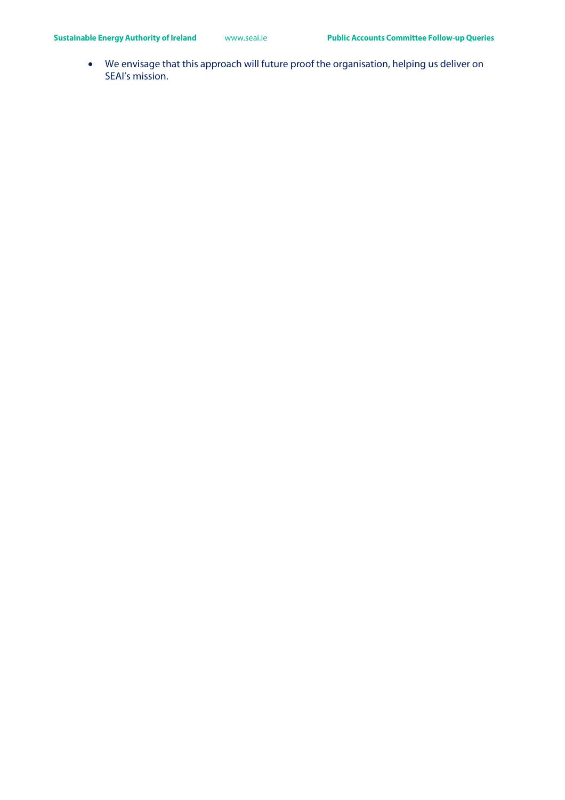• We envisage that this approach will future proof the organisation, helping us deliver on SEAI's mission.